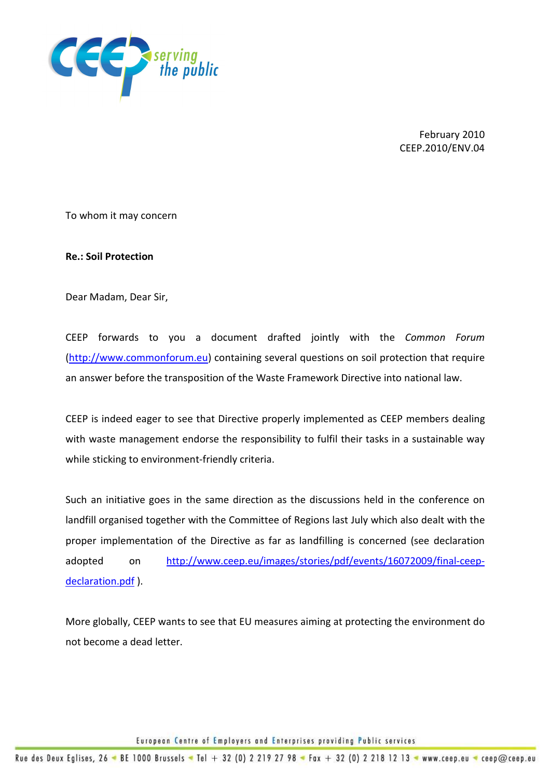

February 2010 CEEP.2010/ENV.04

To whom it may concern

Re.: Soil Protection

Dear Madam, Dear Sir,

CEEP forwards to you a document drafted jointly with the Common Forum (http://www.commonforum.eu) containing several questions on soil protection that require an answer before the transposition of the Waste Framework Directive into national law.

CEEP is indeed eager to see that Directive properly implemented as CEEP members dealing with waste management endorse the responsibility to fulfil their tasks in a sustainable way while sticking to environment-friendly criteria.

Such an initiative goes in the same direction as the discussions held in the conference on landfill organised together with the Committee of Regions last July which also dealt with the proper implementation of the Directive as far as landfilling is concerned (see declaration adopted on http://www.ceep.eu/images/stories/pdf/events/16072009/final-ceepdeclaration.pdf ).

More globally, CEEP wants to see that EU measures aiming at protecting the environment do not become a dead letter.

European Centre of Employers and Enterprises providing Public services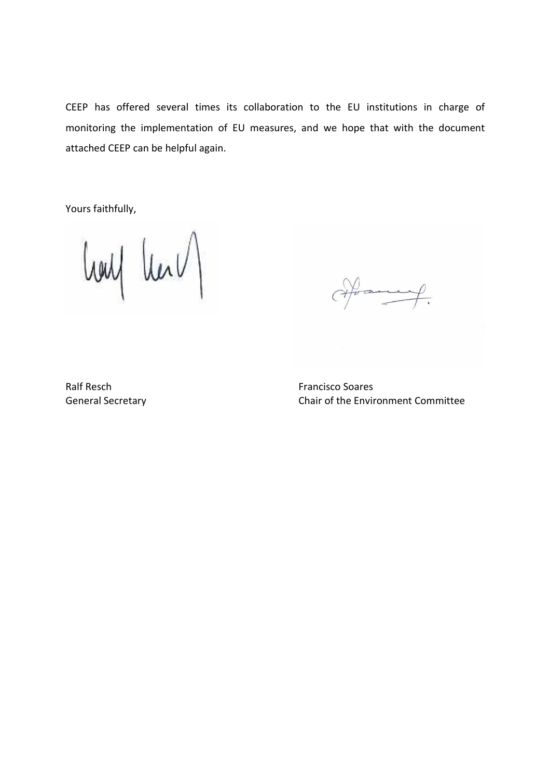CEEP has offered several times its collaboration to the EU institutions in charge of monitoring the implementation of EU measures, and we hope that with the document attached CEEP can be helpful again.

Yours faithfully,

louf learn

Hoan  $\overline{\mathcal{L}}$ 

Ralf Resch **Francisco** Soares

General Secretary Chair of the Environment Committee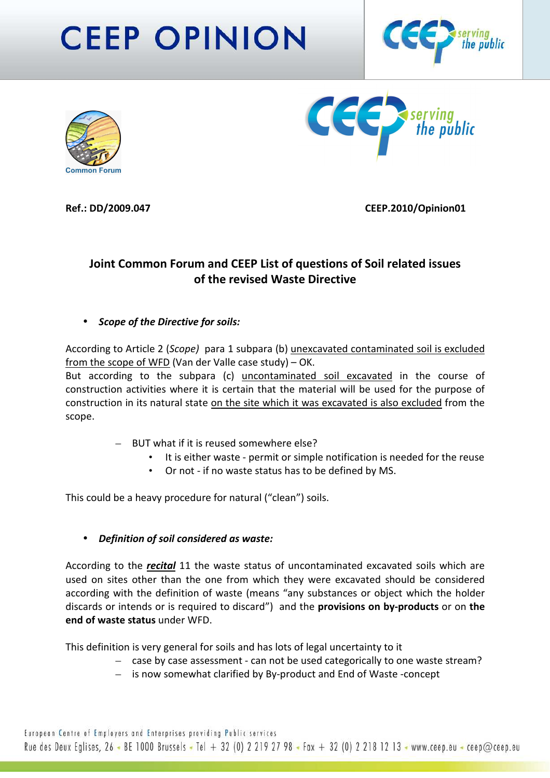# **CEEP OPINION**







Ref.: DD/2009.047 CEEP.2010/Opinion01

## Joint Common Forum and CEEP List of questions of Soil related issues of the revised Waste Directive

• Scope of the Directive for soils:

According to Article 2 (Scope) para 1 subpara (b) unexcavated contaminated soil is excluded from the scope of WFD (Van der Valle case study) – OK.

But according to the subpara (c) uncontaminated soil excavated in the course of construction activities where it is certain that the material will be used for the purpose of construction in its natural state on the site which it was excavated is also excluded from the scope.

- BUT what if it is reused somewhere else?
	- It is either waste permit or simple notification is needed for the reuse
	- Or not if no waste status has to be defined by MS.

This could be a heavy procedure for natural ("clean") soils.

#### • Definition of soil considered as waste:

According to the *recital* 11 the waste status of uncontaminated excavated soils which are used on sites other than the one from which they were excavated should be considered according with the definition of waste (means "any substances or object which the holder discards or intends or is required to discard") and the provisions on by-products or on the end of waste status under WFD.

This definition is very general for soils and has lots of legal uncertainty to it

- case by case assessment can not be used categorically to one waste stream?
- is now somewhat clarified by By-product and End of Waste -concept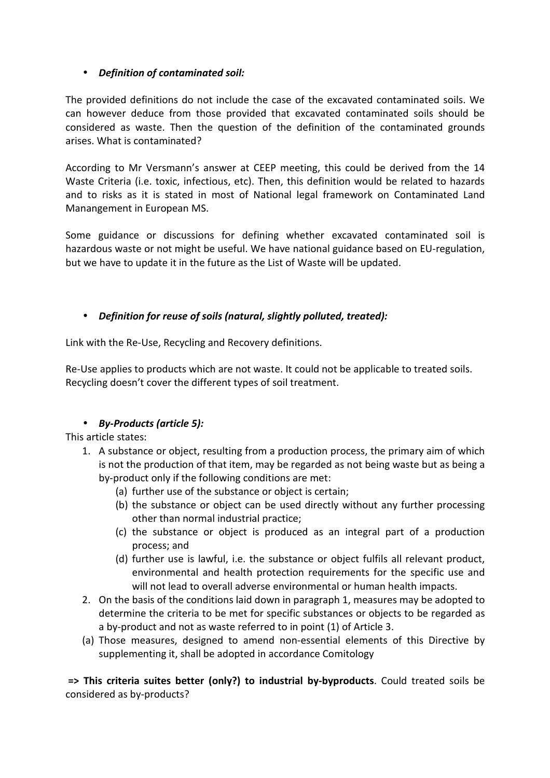### • Definition of contaminated soil:

The provided definitions do not include the case of the excavated contaminated soils. We can however deduce from those provided that excavated contaminated soils should be considered as waste. Then the question of the definition of the contaminated grounds arises. What is contaminated?

According to Mr Versmann's answer at CEEP meeting, this could be derived from the 14 Waste Criteria (i.e. toxic, infectious, etc). Then, this definition would be related to hazards and to risks as it is stated in most of National legal framework on Contaminated Land Manangement in European MS.

Some guidance or discussions for defining whether excavated contaminated soil is hazardous waste or not might be useful. We have national guidance based on EU-regulation, but we have to update it in the future as the List of Waste will be updated.

## • Definition for reuse of soils (natural, slightly polluted, treated):

Link with the Re-Use, Recycling and Recovery definitions.

Re-Use applies to products which are not waste. It could not be applicable to treated soils. Recycling doesn't cover the different types of soil treatment.

## • By-Products (article 5):

This article states:

- 1. A substance or object, resulting from a production process, the primary aim of which is not the production of that item, may be regarded as not being waste but as being a by-product only if the following conditions are met:
	- (a) further use of the substance or object is certain;
	- (b) the substance or object can be used directly without any further processing other than normal industrial practice;
	- (c) the substance or object is produced as an integral part of a production process; and
	- (d) further use is lawful, i.e. the substance or object fulfils all relevant product, environmental and health protection requirements for the specific use and will not lead to overall adverse environmental or human health impacts.
- 2. On the basis of the conditions laid down in paragraph 1, measures may be adopted to determine the criteria to be met for specific substances or objects to be regarded as a by-product and not as waste referred to in point (1) of Article 3.
- (a) Those measures, designed to amend non-essential elements of this Directive by supplementing it, shall be adopted in accordance Comitology

 => This criteria suites better (only?) to industrial by-byproducts. Could treated soils be considered as by-products?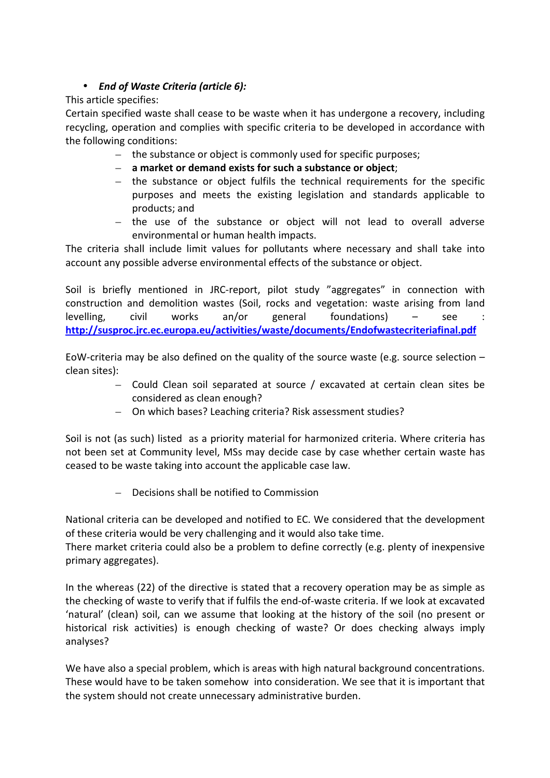## • End of Waste Criteria (article 6):

This article specifies:

Certain specified waste shall cease to be waste when it has undergone a recovery, including recycling, operation and complies with specific criteria to be developed in accordance with the following conditions:

- the substance or object is commonly used for specific purposes;
- a market or demand exists for such a substance or object;
- the substance or object fulfils the technical requirements for the specific purposes and meets the existing legislation and standards applicable to products; and
- the use of the substance or object will not lead to overall adverse environmental or human health impacts.

The criteria shall include limit values for pollutants where necessary and shall take into account any possible adverse environmental effects of the substance or object.

Soil is briefly mentioned in JRC-report, pilot study "aggregates" in connection with construction and demolition wastes (Soil, rocks and vegetation: waste arising from land levelling, civil works an/or general foundations)  $-$  see http://susproc.jrc.ec.europa.eu/activities/waste/documents/Endofwastecriteriafinal.pdf

EoW-criteria may be also defined on the quality of the source waste (e.g. source selection  $$ clean sites):

- Could Clean soil separated at source / excavated at certain clean sites be considered as clean enough?
- On which bases? Leaching criteria? Risk assessment studies?

Soil is not (as such) listed as a priority material for harmonized criteria. Where criteria has not been set at Community level, MSs may decide case by case whether certain waste has ceased to be waste taking into account the applicable case law.

– Decisions shall be notified to Commission

National criteria can be developed and notified to EC. We considered that the development of these criteria would be very challenging and it would also take time.

There market criteria could also be a problem to define correctly (e.g. plenty of inexpensive primary aggregates).

In the whereas (22) of the directive is stated that a recovery operation may be as simple as the checking of waste to verify that if fulfils the end-of-waste criteria. If we look at excavated 'natural' (clean) soil, can we assume that looking at the history of the soil (no present or historical risk activities) is enough checking of waste? Or does checking always imply analyses?

We have also a special problem, which is areas with high natural background concentrations. These would have to be taken somehow into consideration. We see that it is important that the system should not create unnecessary administrative burden.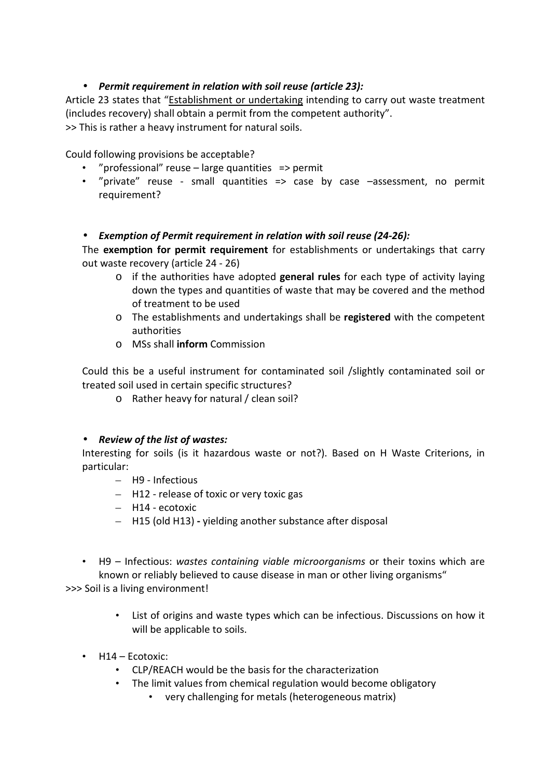## • Permit requirement in relation with soil reuse (article 23):

Article 23 states that "Establishment or undertaking intending to carry out waste treatment (includes recovery) shall obtain a permit from the competent authority". >> This is rather a heavy instrument for natural soils.

Could following provisions be acceptable?

- "professional" reuse large quantities => permit
- "private" reuse small quantities => case by case –assessment, no permit requirement?

#### • Exemption of Permit requirement in relation with soil reuse (24-26):

The exemption for permit requirement for establishments or undertakings that carry out waste recovery (article 24 - 26)

- $\circ$  if the authorities have adopted general rules for each type of activity laying down the types and quantities of waste that may be covered and the method of treatment to be used
- o The establishments and undertakings shall be registered with the competent authorities
- o MSs shall inform Commission

Could this be a useful instrument for contaminated soil /slightly contaminated soil or treated soil used in certain specific structures?

o Rather heavy for natural / clean soil?

#### • Review of the list of wastes:

Interesting for soils (is it hazardous waste or not?). Based on H Waste Criterions, in particular:

- H9 Infectious
- H12 release of toxic or very toxic gas
- H14 ecotoxic
- H15 (old H13) yielding another substance after disposal
- H9 Infectious: wastes containing viable microorganisms or their toxins which are known or reliably believed to cause disease in man or other living organisms"

>>> Soil is a living environment!

- List of origins and waste types which can be infectious. Discussions on how it will be applicable to soils.
- H14 Ecotoxic:
	- CLP/REACH would be the basis for the characterization
	- The limit values from chemical regulation would become obligatory
		- very challenging for metals (heterogeneous matrix)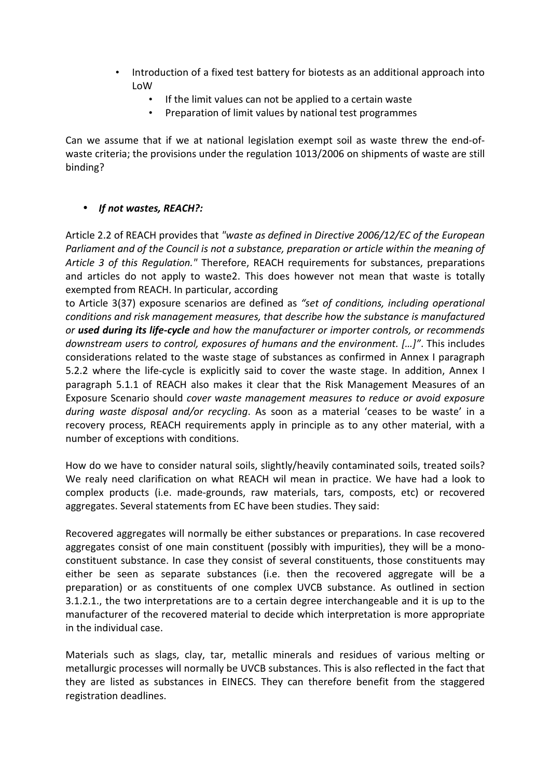- Introduction of a fixed test battery for biotests as an additional approach into LoW
	- If the limit values can not be applied to a certain waste
	- Preparation of limit values by national test programmes

Can we assume that if we at national legislation exempt soil as waste threw the end-ofwaste criteria; the provisions under the regulation 1013/2006 on shipments of waste are still binding?

#### • If not wastes, REACH?:

Article 2.2 of REACH provides that "waste as defined in Directive 2006/12/EC of the European Parliament and of the Council is not a substance, preparation or article within the meaning of Article 3 of this Regulation." Therefore, REACH requirements for substances, preparations and articles do not apply to waste2. This does however not mean that waste is totally exempted from REACH. In particular, according

to Article 3(37) exposure scenarios are defined as "set of conditions, including operational conditions and risk management measures, that describe how the substance is manufactured or used during its life-cycle and how the manufacturer or importer controls, or recommends downstream users to control, exposures of humans and the environment. […]". This includes considerations related to the waste stage of substances as confirmed in Annex I paragraph 5.2.2 where the life-cycle is explicitly said to cover the waste stage. In addition, Annex I paragraph 5.1.1 of REACH also makes it clear that the Risk Management Measures of an Exposure Scenario should cover waste management measures to reduce or avoid exposure during waste disposal and/or recycling. As soon as a material 'ceases to be waste' in a recovery process, REACH requirements apply in principle as to any other material, with a number of exceptions with conditions.

How do we have to consider natural soils, slightly/heavily contaminated soils, treated soils? We realy need clarification on what REACH wil mean in practice. We have had a look to complex products (i.e. made-grounds, raw materials, tars, composts, etc) or recovered aggregates. Several statements from EC have been studies. They said:

Recovered aggregates will normally be either substances or preparations. In case recovered aggregates consist of one main constituent (possibly with impurities), they will be a monoconstituent substance. In case they consist of several constituents, those constituents may either be seen as separate substances (i.e. then the recovered aggregate will be a preparation) or as constituents of one complex UVCB substance. As outlined in section 3.1.2.1., the two interpretations are to a certain degree interchangeable and it is up to the manufacturer of the recovered material to decide which interpretation is more appropriate in the individual case.

Materials such as slags, clay, tar, metallic minerals and residues of various melting or metallurgic processes will normally be UVCB substances. This is also reflected in the fact that they are listed as substances in EINECS. They can therefore benefit from the staggered registration deadlines.